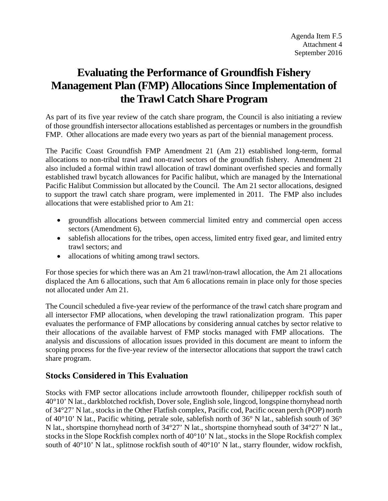# **Evaluating the Performance of Groundfish Fishery Management Plan (FMP) Allocations Since Implementation of the Trawl Catch Share Program**

As part of its five year review of the catch share program, the Council is also initiating a review of those groundfish intersector allocations established as percentages or numbers in the groundfish FMP. Other allocations are made every two years as part of the biennial management process.

The Pacific Coast Groundfish FMP Amendment 21 (Am 21) established long-term, formal allocations to non-tribal trawl and non-trawl sectors of the groundfish fishery. Amendment 21 also included a formal within trawl allocation of trawl dominant overfished species and formally established trawl bycatch allowances for Pacific halibut, which are managed by the International Pacific Halibut Commission but allocated by the Council. The Am 21 sector allocations, designed to support the trawl catch share program, were implemented in 2011. The FMP also includes allocations that were established prior to Am 21:

- groundfish allocations between commercial limited entry and commercial open access sectors (Amendment 6),
- sablefish allocations for the tribes, open access, limited entry fixed gear, and limited entry trawl sectors; and
- allocations of whiting among trawl sectors.

For those species for which there was an Am 21 trawl/non-trawl allocation, the Am 21 allocations displaced the Am 6 allocations, such that Am 6 allocations remain in place only for those species not allocated under Am 21.

The Council scheduled a five-year review of the performance of the trawl catch share program and all intersector FMP allocations, when developing the trawl rationalization program. This paper evaluates the performance of FMP allocations by considering annual catches by sector relative to their allocations of the available harvest of FMP stocks managed with FMP allocations. The analysis and discussions of allocation issues provided in this document are meant to inform the scoping process for the five-year review of the intersector allocations that support the trawl catch share program.

# **Stocks Considered in This Evaluation**

Stocks with FMP sector allocations include arrowtooth flounder, chilipepper rockfish south of 40°10' N lat., darkblotched rockfish, Dover sole, English sole, lingcod, longspine thornyhead north of 34°27' N lat., stocks in the Other Flatfish complex, Pacific cod, Pacific ocean perch (POP) north of 40°10' N lat., Pacific whiting, petrale sole, sablefish north of 36° N lat., sablefish south of 36° N lat., shortspine thornyhead north of 34°27' N lat., shortspine thornyhead south of 34°27' N lat., stocks in the Slope Rockfish complex north of 40°10' N lat., stocks in the Slope Rockfish complex south of 40°10' N lat., splitnose rockfish south of 40°10' N lat., starry flounder, widow rockfish,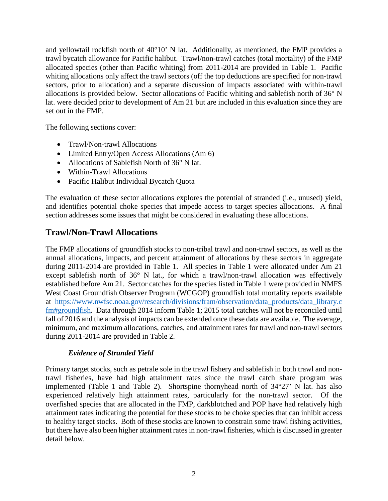and yellowtail rockfish north of 40°10' N lat. Additionally, as mentioned, the FMP provides a trawl bycatch allowance for Pacific halibut. Trawl/non-trawl catches (total mortality) of the FMP allocated species (other than Pacific whiting) from 2011-2014 are provided in [Table 1.](#page-3-0) Pacific whiting allocations only affect the trawl sectors (off the top deductions are specified for non-trawl sectors, prior to allocation) and a separate discussion of impacts associated with within-trawl allocations is provided below. Sector allocations of Pacific whiting and sablefish north of 36° N lat. were decided prior to development of Am 21 but are included in this evaluation since they are set out in the FMP.

The following sections cover:

- Trawl/Non-trawl Allocations
- Limited Entry/Open Access Allocations (Am 6)
- Allocations of Sablefish North of 36° N lat.
- Within-Trawl Allocations
- Pacific Halibut Individual Bycatch Quota

The evaluation of these sector allocations explores the potential of stranded (i.e., unused) yield, and identifies potential choke species that impede access to target species allocations. A final section addresses some issues that might be considered in evaluating these allocations.

# **Trawl/Non-Trawl Allocations**

The FMP allocations of groundfish stocks to non-tribal trawl and non-trawl sectors, as well as the annual allocations, impacts, and percent attainment of allocations by these sectors in aggregate during 2011-2014 are provided in [Table 1.](#page-3-0) All species in Table 1 were allocated under Am 21 except sablefish north of 36° N lat., for which a trawl/non-trawl allocation was effectively established before Am 21. Sector catches for the species listed in [Table 1](#page-3-0) were provided in NMFS West Coast Groundfish Observer Program (WCGOP) groundfish total mortality reports available at [https://www.nwfsc.noaa.gov/research/divisions/fram/observation/data\\_products/data\\_library.c](https://www.nwfsc.noaa.gov/research/divisions/fram/observation/data_products/data_library.cfm#groundfish) [fm#groundfish.](https://www.nwfsc.noaa.gov/research/divisions/fram/observation/data_products/data_library.cfm#groundfish) Data through 2014 inform [Table 1;](#page-3-0) 2015 total catches will not be reconciled until fall of 2016 and the analysis of impacts can be extended once these data are available. The average, minimum, and maximum allocations, catches, and attainment rates for trawl and non-trawl sectors during 2011-2014 are provided in [Table 2.](#page-5-0)

### *Evidence of Stranded Yield*

Primary target stocks, such as petrale sole in the trawl fishery and sablefish in both trawl and nontrawl fisheries, have had high attainment rates since the trawl catch share program was implemented [\(Table 1](#page-3-0) and [Table 2\)](#page-5-0). Shortspine thornyhead north of 34°27' N lat. has also experienced relatively high attainment rates, particularly for the non-trawl sector. Of the overfished species that are allocated in the FMP, darkblotched and POP have had relatively high attainment rates indicating the potential for these stocks to be choke species that can inhibit access to healthy target stocks. Both of these stocks are known to constrain some trawl fishing activities, but there have also been higher attainment rates in non-trawl fisheries, which is discussed in greater detail below.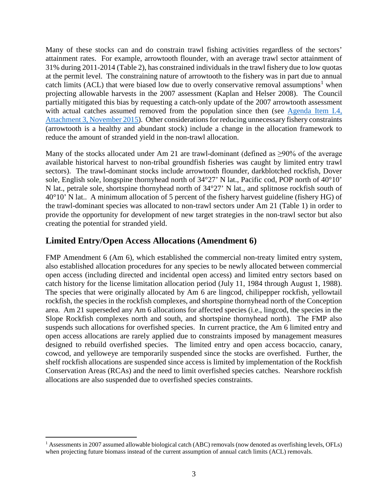Many of these stocks can and do constrain trawl fishing activities regardless of the sectors' attainment rates. For example, arrowtooth flounder, with an average trawl sector attainment of 31% during 2011-2014 [\(Table 2\)](#page-5-0), has constrained individuals in the trawl fishery due to low quotas at the permit level. The constraining nature of arrowtooth to the fishery was in part due to annual catch limits (ACL) that were biased low due to overly conservative removal assumptions<sup>[1](#page-2-0)</sup> when projecting allowable harvests in the 2007 assessment [\(Kaplan and Helser 2008\)](#page-15-0). The Council partially mitigated this bias by requesting a catch-only update of the 2007 arrowtooth assessment with actual catches assumed removed from the population since then (see Agenda Item I.4, [Attachment 3, November 2015\)](http://www.pcouncil.org/wp-content/uploads/2015/10/I4_Att3_SpexProjections_Arrowtooth_Yelloweye_Blue_CASF_Nov2015BB.pdf). Other considerations for reducing unnecessary fishery constraints (arrowtooth is a healthy and abundant stock) include a change in the allocation framework to reduce the amount of stranded yield in the non-trawl allocation.

Many of the stocks allocated under Am 21 are trawl-dominant (defined as  $\geq$ 90% of the average available historical harvest to non-tribal groundfish fisheries was caught by limited entry trawl sectors). The trawl-dominant stocks include arrowtooth flounder, darkblotched rockfish, Dover sole, English sole, longspine thornyhead north of 34°27' N lat., Pacific cod, POP north of 40°10' N lat., petrale sole, shortspine thornyhead north of 34°27' N lat., and splitnose rockfish south of 40°10' N lat.. A minimum allocation of 5 percent of the fishery harvest guideline (fishery HG) of the trawl-dominant species was allocated to non-trawl sectors under Am 21 [\(Table 1\)](#page-3-0) in order to provide the opportunity for development of new target strategies in the non-trawl sector but also creating the potential for stranded yield.

# **Limited Entry/Open Access Allocations (Amendment 6)**

FMP Amendment 6 (Am 6), which established the commercial non-treaty limited entry system, also established allocation procedures for any species to be newly allocated between commercial open access (including directed and incidental open access) and limited entry sectors based on catch history for the license limitation allocation period (July 11, 1984 through August 1, 1988). The species that were originally allocated by Am 6 are lingcod, chilipepper rockfish, yellowtail rockfish, the species in the rockfish complexes, and shortspine thornyhead north of the Conception area. Am 21 superseded any Am 6 allocations for affected species (i.e., lingcod, the species in the Slope Rockfish complexes north and south, and shortspine thornyhead north). The FMP also suspends such allocations for overfished species. In current practice, the Am 6 limited entry and open access allocations are rarely applied due to constraints imposed by management measures designed to rebuild overfished species. The limited entry and open access bocaccio, canary, cowcod, and yelloweye are temporarily suspended since the stocks are overfished. Further, the shelf rockfish allocations are suspended since access is limited by implementation of the Rockfish Conservation Areas (RCAs) and the need to limit overfished species catches. Nearshore rockfish allocations are also suspended due to overfished species constraints.

<span id="page-2-0"></span><sup>&</sup>lt;sup>1</sup> Assessments in 2007 assumed allowable biological catch (ABC) removals (now denoted as overfishing levels, OFLs) when projecting future biomass instead of the current assumption of annual catch limits (ACL) removals.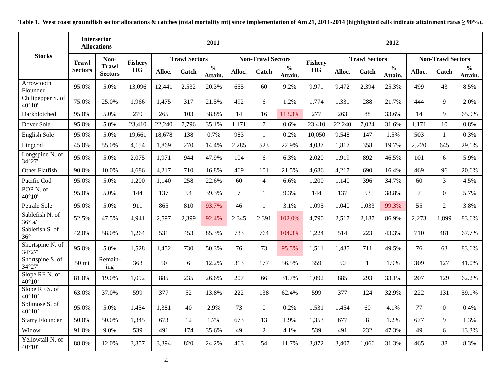<span id="page-3-0"></span>

|                                         | <b>Intersector</b><br><b>Allocations</b> |                                | 2011           |        |                      |                                     |                |                          |                          | 2012           |        |                      |                                     |                |                          |                          |  |
|-----------------------------------------|------------------------------------------|--------------------------------|----------------|--------|----------------------|-------------------------------------|----------------|--------------------------|--------------------------|----------------|--------|----------------------|-------------------------------------|----------------|--------------------------|--------------------------|--|
| <b>Stocks</b>                           | <b>Trawl</b>                             | Non-                           | <b>Fishery</b> |        | <b>Trawl Sectors</b> |                                     |                | <b>Non-Trawl Sectors</b> |                          | <b>Fishery</b> |        | <b>Trawl Sectors</b> |                                     |                | <b>Non-Trawl Sectors</b> |                          |  |
|                                         | <b>Sectors</b>                           | <b>Trawl</b><br><b>Sectors</b> | HG             | Alloc. | Catch                | $\overline{\frac{0}{0}}$<br>Attain. | Alloc.         | Catch                    | $\frac{0}{0}$<br>Attain. | HG             | Alloc. | Catch                | $\overline{\frac{0}{0}}$<br>Attain. | Alloc.         | Catch                    | $\frac{6}{6}$<br>Attain. |  |
| Arrowtooth<br>Flounder                  | 95.0%                                    | 5.0%                           | 13,096         | 12,441 | 2,532                | 20.3%                               | 655            | 60                       | 9.2%                     | 9,971          | 9,472  | 2,394                | 25.3%                               | 499            | 43                       | 8.5%                     |  |
| Chilipepper S. of<br>40°10'             | 75.0%                                    | 25.0%                          | 1,966          | 1,475  | 317                  | 21.5%                               | 492            | 6                        | 1.2%                     | 1,774          | 1,331  | 288                  | 21.7%                               | 444            | 9                        | 2.0%                     |  |
| Darkblotched                            | 95.0%                                    | 5.0%                           | 279            | 265    | 103                  | 38.8%                               | 14             | 16                       | 113.3%                   | 277            | 263    | 88                   | 33.6%                               | 14             | 9                        | 65.9%                    |  |
| Dover Sole                              | 95.0%                                    | 5.0%                           | 23,410         | 22,240 | 7,796                | 35.1%                               | 1,171          | $7\phantom{.0}$          | 0.6%                     | 23,410         | 22,240 | 7,024                | 31.6%                               | 1,171          | 10                       | 0.8%                     |  |
| English Sole                            | 95.0%                                    | 5.0%                           | 19,661         | 18,678 | 138                  | 0.7%                                | 983            | $\mathbf{1}$             | 0.2%                     | 10,050         | 9,548  | 147                  | 1.5%                                | 503            | 1                        | 0.3%                     |  |
| Lingcod                                 | 45.0%                                    | 55.0%                          | 4,154          | 1,869  | 270                  | 14.4%                               | 2,285          | 523                      | 22.9%                    | 4,037          | 1,817  | 358                  | 19.7%                               | 2,220          | 645                      | 29.1%                    |  |
| Longspine N. of<br>34°27'               | 95.0%                                    | 5.0%                           | 2,075          | 1,971  | 944                  | 47.9%                               | 104            | 6                        | 6.3%                     | 2,020          | 1,919  | 892                  | 46.5%                               | 101            | 6                        | 5.9%                     |  |
| Other Flatfish                          | 90.0%                                    | 10.0%                          | 4,686          | 4,217  | 710                  | 16.8%                               | 469            | 101                      | 21.5%                    | 4,686          | 4,217  | 690                  | 16.4%                               | 469            | 96                       | 20.6%                    |  |
| Pacific Cod                             | 95.0%                                    | 5.0%                           | 1,200          | 1,140  | 258                  | 22.6%                               | 60             | $\overline{4}$           | 6.6%                     | 1,200          | 1,140  | 396                  | 34.7%                               | 60             | 3                        | 4.5%                     |  |
| POP <sub>N.</sub> of<br>$40^{\circ}10'$ | 95.0%                                    | 5.0%                           | 144            | 137    | 54                   | 39.3%                               | $\overline{7}$ | 1                        | 9.3%                     | 144            | 137    | 53                   | 38.8%                               | $\overline{7}$ | $\boldsymbol{0}$         | 5.7%                     |  |
| Petrale Sole                            | 95.0%                                    | 5.0%                           | 911            | 865    | 810                  | 93.7%                               | 46             | $\mathbf{1}$             | 3.1%                     | 1,095          | 1,040  | 1,033                | 99.3%                               | 55             | $\overline{2}$           | 3.8%                     |  |
| Sablefish N. of<br>$36^\circ$ a/        | 52.5%                                    | 47.5%                          | 4,941          | 2,597  | 2,399                | 92.4%                               | 2,345          | 2,391                    | 102.0%                   | 4,790          | 2,517  | 2,187                | 86.9%                               | 2,273          | 1,899                    | 83.6%                    |  |
| Sablefish S. of<br>$36^{\circ}$         | 42.0%                                    | 58.0%                          | 1,264          | 531    | 453                  | 85.3%                               | 733            | 764                      | 104.3%                   | 1,224          | 514    | 223                  | 43.3%                               | 710            | 481                      | 67.7%                    |  |
| Shortspine N. of<br>34°27'              | 95.0%                                    | 5.0%                           | 1,528          | 1,452  | 730                  | 50.3%                               | 76             | 73                       | 95.5%                    | 1,511          | 1,435  | 711                  | 49.5%                               | 76             | 63                       | 83.6%                    |  |
| Shortspine S. of<br>34°27'              | 50 <sub>mt</sub>                         | Remain-<br>ing                 | 363            | 50     | 6                    | 12.2%                               | 313            | 177                      | 56.5%                    | 359            | 50     | $\mathbf{1}$         | 1.9%                                | 309            | 127                      | 41.0%                    |  |
| Slope RF N. of<br>$40^{\circ}10'$       | 81.0%                                    | 19.0%                          | 1,092          | 885    | 235                  | 26.6%                               | 207            | 66                       | 31.7%                    | 1,092          | 885    | 293                  | 33.1%                               | 207            | 129                      | 62.2%                    |  |
| Slope RF S. of<br>40°10'                | 63.0%                                    | 37.0%                          | 599            | 377    | 52                   | 13.8%                               | 222            | 138                      | 62.4%                    | 599            | 377    | 124                  | 32.9%                               | 222            | 131                      | 59.1%                    |  |
| Splitnose S. of<br>$40^{\circ}10'$      | 95.0%                                    | 5.0%                           | 1,454          | 1,381  | 40                   | 2.9%                                | 73             | $\mathbf{0}$             | 0.2%                     | 1,531          | 1,454  | 60                   | 4.1%                                | 77             | $\mathbf{0}$             | 0.4%                     |  |
| <b>Starry Flounder</b>                  | 50.0%                                    | 50.0%                          | 1,345          | 673    | 12                   | 1.7%                                | 673            | 13                       | 1.9%                     | 1,353          | 677    | 8                    | 1.2%                                | 677            | 9                        | 1.3%                     |  |
| Widow                                   | 91.0%                                    | 9.0%                           | 539            | 491    | 174                  | 35.6%                               | 49             | 2                        | 4.1%                     | 539            | 491    | 232                  | 47.3%                               | 49             | 6                        | 13.3%                    |  |
| Yellowtail N. of<br>40°10'              | 88.0%                                    | 12.0%                          | 3,857          | 3,394  | 820                  | 24.2%                               | 463            | 54                       | 11.7%                    | 3,872          | 3,407  | 1,066                | 31.3%                               | 465            | 38                       | 8.3%                     |  |

<span id="page-3-1"></span>**Table 1. West coast groundfish sector allocations & catches (total mortality mt) since implementation of Am 21, 2011-2014 (highlighted cells indicate attainment rates ≥ 90%).**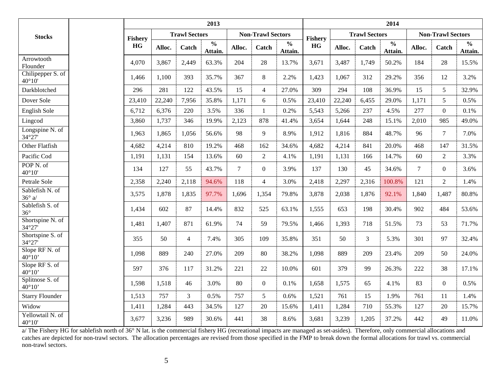|                                         |                |        |                      | 2013                     |                |                          | 2014                     |                |        |                      |                          |        |                          |                          |
|-----------------------------------------|----------------|--------|----------------------|--------------------------|----------------|--------------------------|--------------------------|----------------|--------|----------------------|--------------------------|--------|--------------------------|--------------------------|
| <b>Stocks</b>                           | <b>Fishery</b> |        | <b>Trawl Sectors</b> |                          |                | <b>Non-Trawl Sectors</b> |                          | <b>Fishery</b> |        | <b>Trawl Sectors</b> |                          |        | <b>Non-Trawl Sectors</b> |                          |
|                                         | HG             | Alloc. | Catch                | $\frac{0}{0}$<br>Attain. | Alloc.         | Catch                    | $\frac{0}{0}$<br>Attain. | <b>HG</b>      | Alloc. | Catch                | $\frac{0}{0}$<br>Attain. | Alloc. | Catch                    | $\frac{0}{0}$<br>Attain. |
| Arrowtooth<br>Flounder                  | 4,070          | 3,867  | 2,449                | 63.3%                    | 204            | 28                       | 13.7%                    | 3,671          | 3,487  | 1,749                | 50.2%                    | 184    | 28                       | 15.5%                    |
| Chilipepper S. of<br>$40^{\circ}10'$    | 1,466          | 1,100  | 393                  | 35.7%                    | 367            | 8                        | 2.2%                     | 1,423          | 1,067  | 312                  | 29.2%                    | 356    | 12                       | 3.2%                     |
| Darkblotched                            | 296            | 281    | 122                  | 43.5%                    | 15             | $\overline{4}$           | 27.0%                    | 309            | 294    | 108                  | 36.9%                    | 15     | 5                        | 32.9%                    |
| Dover Sole                              | 23,410         | 22,240 | 7,956                | 35.8%                    | 1,171          | 6                        | 0.5%                     | 23,410         | 22,240 | 6,455                | 29.0%                    | 1,171  | 5                        | 0.5%                     |
| English Sole                            | 6,712          | 6,376  | 220                  | 3.5%                     | 336            | 1                        | 0.2%                     | 5,543          | 5,266  | 237                  | 4.5%                     | 277    | $\overline{0}$           | 0.1%                     |
| Lingcod                                 | 3,860          | 1,737  | 346                  | 19.9%                    | 2,123          | 878                      | 41.4%                    | 3,654          | 1,644  | 248                  | 15.1%                    | 2,010  | 985                      | 49.0%                    |
| Longspine N. of<br>34°27'               | 1,963          | 1,865  | 1,056                | 56.6%                    | 98             | 9                        | 8.9%                     | 1,912          | 1,816  | 884                  | 48.7%                    | 96     | $\overline{7}$           | 7.0%                     |
| Other Flatfish                          | 4,682          | 4,214  | 810                  | 19.2%                    | 468            | 162                      | 34.6%                    | 4,682          | 4,214  | 841                  | 20.0%                    | 468    | 147                      | 31.5%                    |
| Pacific Cod                             | 1,191          | 1,131  | 154                  | 13.6%                    | 60             | $\overline{2}$           | 4.1%                     | 1,191          | 1,131  | 166                  | 14.7%                    | 60     | $\overline{2}$           | 3.3%                     |
| POP <sub>N.</sub> of<br>$40^{\circ}10'$ | 134            | 127    | 55                   | 43.7%                    | $\overline{7}$ | $\boldsymbol{0}$         | 3.9%                     | 137            | 130    | 45                   | 34.6%                    | $\tau$ | $\mathbf{0}$             | 3.6%                     |
| Petrale Sole                            | 2,358          | 2,240  | 2,118                | 94.6%                    | 118            | $\overline{4}$           | 3.0%                     | 2,418          | 2,297  | 2,316                | 100.8%                   | 121    | $\overline{2}$           | 1.4%                     |
| Sablefish N. of<br>$36^\circ$ a/        | 3,575          | 1,878  | 1,835                | 97.7%                    | 1,696          | 1,354                    | 79.8%                    | 3,878          | 2,038  | 1,876                | 92.1%                    | 1,840  | 1,487                    | 80.8%                    |
| Sablefish S. of<br>$36^{\circ}$         | 1,434          | 602    | 87                   | 14.4%                    | 832            | 525                      | 63.1%                    | 1,555          | 653    | 198                  | 30.4%                    | 902    | 484                      | 53.6%                    |
| Shortspine N. of<br>34°27'              | 1,481          | 1,407  | 871                  | 61.9%                    | 74             | 59                       | 79.5%                    | 1,466          | 1,393  | 718                  | 51.5%                    | 73     | 53                       | 71.7%                    |
| Shortspine S. of<br>34°27'              | 355            | 50     | $\overline{4}$       | 7.4%                     | 305            | 109                      | 35.8%                    | 351            | 50     | 3                    | 5.3%                     | 301    | 97                       | 32.4%                    |
| Slope RF N. of<br>$40^{\circ}10'$       | 1,098          | 889    | 240                  | 27.0%                    | 209            | 80                       | 38.2%                    | 1,098          | 889    | 209                  | 23.4%                    | 209    | 50                       | 24.0%                    |
| Slope RF S. of<br>$40^{\circ}10'$       | 597            | 376    | 117                  | 31.2%                    | 221            | 22                       | 10.0%                    | 601            | 379    | 99                   | 26.3%                    | 222    | 38                       | 17.1%                    |
| Splitnose S. of<br>$40^{\circ}10'$      | 1,598          | 1,518  | 46                   | 3.0%                     | 80             | $\overline{0}$           | 0.1%                     | 1,658          | 1,575  | 65                   | 4.1%                     | 83     | $\overline{0}$           | 0.5%                     |
| <b>Starry Flounder</b>                  | 1,513          | 757    | $\overline{3}$       | 0.5%                     | 757            | 5                        | 0.6%                     | 1,521          | 761    | 15                   | 1.9%                     | 761    | 11                       | 1.4%                     |
| Widow                                   | 1,411          | 1,284  | 443                  | 34.5%                    | 127            | 20                       | 15.6%                    | 1,411          | 1,284  | 710                  | 55.3%                    | 127    | 20                       | 15.7%                    |
| Yellowtail N. of<br>$40^{\circ}10'$     | 3,677          | 3,236  | 989                  | 30.6%                    | 441            | 38                       | 8.6%                     | 3,681          | 3,239  | 1,205                | 37.2%                    | 442    | 49                       | 11.0%                    |

a/ The Fishery HG for sablefish north of 36° N lat. is the commercial fishery HG (recreational impacts are managed as set-asides). Therefore, only commercial allocations and catches are depicted for non-trawl sectors. The allocation percentages are revised from those specified in the FMP to break down the formal allocations for trawl vs. commercial non-trawl sectors.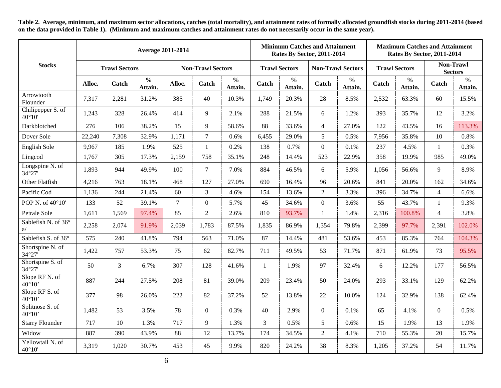**Table 2. Average, minimum, and maximum sector allocations, catches (total mortality), and attainment rates of formally allocated groundfish stocks during 2011-2014 (based on the data provided in [Table 1\)](#page-3-1). (Minimum and maximum catches and attainment rates do not necessarily occur in the same year).**

<span id="page-5-0"></span>

|                                      | <b>Average 2011-2014</b> |                      |                          |                          |                |                          |              |                          | <b>Minimum Catches and Attainment</b><br><b>Rates By Sector, 2011-2014</b> |                          | <b>Maximum Catches and Attainment</b><br><b>Rates By Sector, 2011-2014</b> |                          |                             |                          |  |
|--------------------------------------|--------------------------|----------------------|--------------------------|--------------------------|----------------|--------------------------|--------------|--------------------------|----------------------------------------------------------------------------|--------------------------|----------------------------------------------------------------------------|--------------------------|-----------------------------|--------------------------|--|
| <b>Stocks</b>                        |                          | <b>Trawl Sectors</b> |                          | <b>Non-Trawl Sectors</b> |                |                          |              | <b>Trawl Sectors</b>     | <b>Non-Trawl Sectors</b>                                                   |                          | <b>Trawl Sectors</b>                                                       |                          | Non-Trawl<br><b>Sectors</b> |                          |  |
|                                      | Alloc.                   | Catch                | $\frac{0}{0}$<br>Attain. | Alloc.                   | Catch          | $\frac{0}{0}$<br>Attain. | Catch        | $\frac{0}{0}$<br>Attain. | Catch                                                                      | $\frac{0}{0}$<br>Attain. | Catch                                                                      | $\frac{0}{0}$<br>Attain. | Catch                       | $\frac{0}{0}$<br>Attain. |  |
| Arrowtooth<br>Flounder               | 7,317                    | 2,281                | 31.2%                    | 385                      | 40             | 10.3%                    | 1,749        | 20.3%                    | 28                                                                         | 8.5%                     | 2,532                                                                      | 63.3%                    | 60                          | 15.5%                    |  |
| Chilipepper S. of<br>$40^{\circ}10'$ | 1,243                    | 328                  | 26.4%                    | 414                      | 9              | 2.1%                     | 288          | 21.5%                    | 6                                                                          | 1.2%                     | 393                                                                        | 35.7%                    | 12                          | 3.2%                     |  |
| Darkblotched                         | 276                      | 106                  | 38.2%                    | 15                       | 9              | 58.6%                    | 88           | 33.6%                    | $\overline{4}$                                                             | 27.0%                    | 122                                                                        | 43.5%                    | 16                          | 113.3%                   |  |
| Dover Sole                           | 22,240                   | 7,308                | 32.9%                    | 1,171                    | $\tau$         | 0.6%                     | 6,455        | 29.0%                    | 5                                                                          | 0.5%                     | 7,956                                                                      | 35.8%                    | 10                          | 0.8%                     |  |
| English Sole                         | 9,967                    | 185                  | 1.9%                     | 525                      | $\mathbf{1}$   | 0.2%                     | 138          | 0.7%                     | $\overline{0}$                                                             | 0.1%                     | 237                                                                        | 4.5%                     | -1                          | 0.3%                     |  |
| Lingcod                              | 1,767                    | 305                  | 17.3%                    | 2,159                    | 758            | 35.1%                    | 248          | 14.4%                    | 523                                                                        | 22.9%                    | 358                                                                        | 19.9%                    | 985                         | 49.0%                    |  |
| Longspine N. of<br>34°27'            | 1,893                    | 944                  | 49.9%                    | 100                      | $\tau$         | 7.0%                     | 884          | 46.5%                    | 6                                                                          | 5.9%                     | 1,056                                                                      | 56.6%                    | 9                           | 8.9%                     |  |
| Other Flatfish                       | 4,216                    | 763                  | 18.1%                    | 468                      | 127            | 27.0%                    | 690          | 16.4%                    | 96                                                                         | 20.6%                    | 841                                                                        | 20.0%                    | 162                         | 34.6%                    |  |
| Pacific Cod                          | 1,136                    | 244                  | 21.4%                    | 60                       | 3              | 4.6%                     | 154          | 13.6%                    | $\overline{2}$                                                             | 3.3%                     | 396                                                                        | 34.7%                    | $\overline{4}$              | 6.6%                     |  |
| POP N. of 40°10'                     | 133                      | 52                   | 39.1%                    | $\overline{7}$           | $\overline{0}$ | 5.7%                     | 45           | 34.6%                    | $\overline{0}$                                                             | 3.6%                     | 55                                                                         | 43.7%                    | -1                          | 9.3%                     |  |
| Petrale Sole                         | 1,611                    | 1,569                | 97.4%                    | 85                       | $\overline{c}$ | 2.6%                     | 810          | 93.7%                    | 1                                                                          | 1.4%                     | 2,316                                                                      | 100.8%                   | $\overline{4}$              | 3.8%                     |  |
| Sablefish N. of 36°<br>a/            | 2,258                    | 2,074                | 91.9%                    | 2,039                    | 1,783          | 87.5%                    | 1,835        | 86.9%                    | 1,354                                                                      | 79.8%                    | 2,399                                                                      | 97.7%                    | 2,391                       | 102.0%                   |  |
| Sablefish S. of 36°                  | 575                      | 240                  | 41.8%                    | 794                      | 563            | 71.0%                    | 87           | 14.4%                    | 481                                                                        | 53.6%                    | 453                                                                        | 85.3%                    | 764                         | 104.3%                   |  |
| Shortspine N. of<br>34°27'           | 1,422                    | 757                  | 53.3%                    | 75                       | 62             | 82.7%                    | 711          | 49.5%                    | 53                                                                         | 71.7%                    | 871                                                                        | 61.9%                    | 73                          | 95.5%                    |  |
| Shortspine S. of<br>34°27'           | 50                       | $\overline{3}$       | 6.7%                     | 307                      | 128            | 41.6%                    | $\mathbf{1}$ | 1.9%                     | 97                                                                         | 32.4%                    | 6                                                                          | 12.2%                    | 177                         | 56.5%                    |  |
| Slope RF N. of<br>$40^{\circ}10'$    | 887                      | 244                  | 27.5%                    | 208                      | 81             | 39.0%                    | 209          | 23.4%                    | 50                                                                         | 24.0%                    | 293                                                                        | 33.1%                    | 129                         | 62.2%                    |  |
| Slope RF S. of<br>$40^{\circ}10'$    | 377                      | 98                   | 26.0%                    | 222                      | 82             | 37.2%                    | 52           | 13.8%                    | 22                                                                         | 10.0%                    | 124                                                                        | 32.9%                    | 138                         | 62.4%                    |  |
| Splitnose S. of<br>$40^{\circ}10'$   | 1,482                    | 53                   | 3.5%                     | 78                       | $\overline{0}$ | 0.3%                     | 40           | 2.9%                     | $\Omega$                                                                   | 0.1%                     | 65                                                                         | 4.1%                     | $\theta$                    | 0.5%                     |  |
| <b>Starry Flounder</b>               | 717                      | 10                   | 1.3%                     | 717                      | 9              | 1.3%                     | 3            | 0.5%                     | 5                                                                          | 0.6%                     | 15                                                                         | 1.9%                     | 13                          | 1.9%                     |  |
| Widow                                | 887                      | 390                  | 43.9%                    | 88                       | 12             | 13.7%                    | 174          | 34.5%                    | $\overline{2}$                                                             | 4.1%                     | 710                                                                        | 55.3%                    | 20                          | 15.7%                    |  |
| Yellowtail N. of<br>$40^{\circ}10'$  | 3,319                    | 1,020                | 30.7%                    | 453                      | 45             | 9.9%                     | 820          | 24.2%                    | 38                                                                         | 8.3%                     | 1,205                                                                      | 37.2%                    | 54                          | 11.7%                    |  |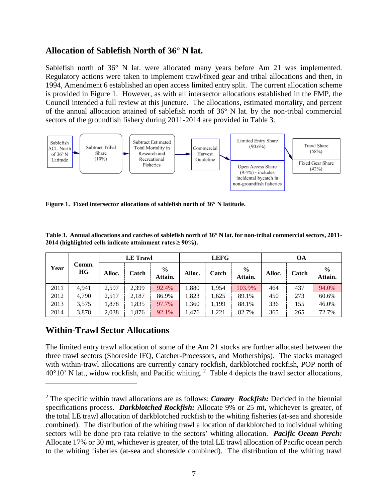## **Allocation of Sablefish North of 36° N lat.**

Sablefish north of 36° N lat. were allocated many years before Am 21 was implemented. Regulatory actions were taken to implement trawl/fixed gear and tribal allocations and then, in 1994, Amendment 6 established an open access limited entry split. The current allocation scheme is provided in [Figure 1.](#page-6-0) However, as with all intersector allocations established in the FMP, the Council intended a full review at this juncture. The allocations, estimated mortality, and percent of the annual allocation attained of sablefish north of 36° N lat. by the non-tribal commercial sectors of the groundfish fishery during 2011-2014 are provided in [Table 3.](#page-6-1)



<span id="page-6-0"></span>**Figure 1. Fixed intersector allocations of sablefish north of 36° N latitude.**

<span id="page-6-1"></span>**Table 3. Annual allocations and catches of sablefish north of 36° N lat. for non-tribal commercial sectors, 2011- 2014 (highlighted cells indicate attainment rates ≥ 90%).**

|      |             |        | <b>LE</b> Trawl |                          |        | <b>LEFG</b> |                          | OА     |       |                          |  |
|------|-------------|--------|-----------------|--------------------------|--------|-------------|--------------------------|--------|-------|--------------------------|--|
| Year | Comm.<br>HG | Alloc. | Catch           | $\frac{0}{0}$<br>Attain. | Alloc. | Catch       | $\frac{6}{6}$<br>Attain. | Alloc. | Catch | $\frac{6}{9}$<br>Attain. |  |
| 2011 | 4.941       | 2.597  | 2,399           | 92.4%                    | 1,880  | 1,954       | 103.9%                   | 464    | 437   | 94.0%                    |  |
| 2012 | 4,790       | 2.517  | 2,187           | 86.9%                    | 1,823  | 1,625       | 89.1%                    | 450    | 273   | 60.6%                    |  |
| 2013 | 3,575       | 1,878  | 1,835           | 97.7%                    | 1,360  | 1,199       | 88.1%                    | 336    | 155   | 46.0%                    |  |
| 2014 | 3,878       | 2,038  | 1,876           | 92.1%                    | 1,476  | 1,221       | 82.7%                    | 365    | 265   | 72.7%                    |  |

# **Within-Trawl Sector Allocations**

 $\overline{a}$ 

The limited entry trawl allocation of some of the Am 21 stocks are further allocated between the three trawl sectors (Shoreside IFQ, Catcher-Processors, and Motherships). The stocks managed with within-trawl allocations are currently canary rockfish, darkblotched rockfish, POP north of  $40^{\circ}10'$  N lat., widow rockfish, and Pacific whiting. <sup>[2](#page-6-2)</sup> [Table 4](#page-8-0) depicts the trawl sector allocations,

<span id="page-6-2"></span><sup>2</sup> The specific within trawl allocations are as follows: *Canary Rockfish:* Decided in the biennial specifications process. *Darkblotched Rockfish:* Allocate 9% or 25 mt, whichever is greater, of the total LE trawl allocation of darkblotched rockfish to the whiting fisheries (at-sea and shoreside combined). The distribution of the whiting trawl allocation of darkblotched to individual whiting sectors will be done pro rata relative to the sectors' whiting allocation. *Pacific Ocean Perch:*  Allocate 17% or 30 mt, whichever is greater, of the total LE trawl allocation of Pacific ocean perch to the whiting fisheries (at-sea and shoreside combined). The distribution of the whiting trawl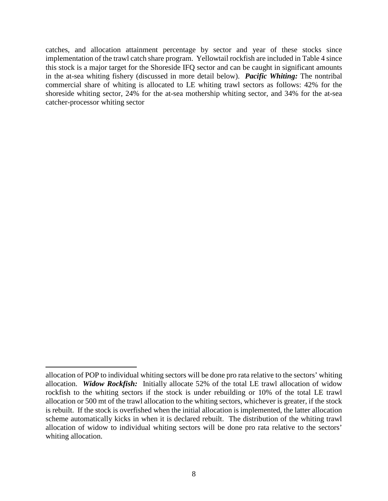catches, and allocation attainment percentage by sector and year of these stocks since implementation of the trawl catch share program. Yellowtail rockfish are included in [Table 4](#page-8-0) since this stock is a major target for the Shoreside IFQ sector and can be caught in significant amounts in the at-sea whiting fishery (discussed in more detail below). *Pacific Whiting:* The nontribal commercial share of whiting is allocated to LE whiting trawl sectors as follows: 42% for the shoreside whiting sector, 24% for the at-sea mothership whiting sector, and 34% for the at-sea catcher-processor whiting sector

 $\overline{a}$ allocation of POP to individual whiting sectors will be done pro rata relative to the sectors' whiting allocation. *Widow Rockfish:* Initially allocate 52% of the total LE trawl allocation of widow rockfish to the whiting sectors if the stock is under rebuilding or 10% of the total LE trawl allocation or 500 mt of the trawl allocation to the whiting sectors, whichever is greater, if the stock is rebuilt. If the stock is overfished when the initial allocation is implemented, the latter allocation scheme automatically kicks in when it is declared rebuilt. The distribution of the whiting trawl allocation of widow to individual whiting sectors will be done pro rata relative to the sectors' whiting allocation.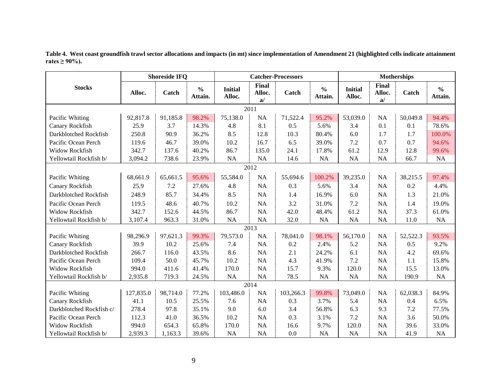<span id="page-8-0"></span>

|                          |           | <b>Shoreside IFQ</b> |                          |                          |                       | <b>Catcher-Processors</b> |                          |                          |                              | <b>Motherships</b> |                          |
|--------------------------|-----------|----------------------|--------------------------|--------------------------|-----------------------|---------------------------|--------------------------|--------------------------|------------------------------|--------------------|--------------------------|
| <b>Stocks</b>            | Alloc.    | Catch                | $\frac{0}{0}$<br>Attain. | <b>Initial</b><br>Alloc. | Final<br>Alloc.<br>a/ | Catch                     | $\frac{0}{0}$<br>Attain. | <b>Initial</b><br>Alloc. | <b>Final</b><br>Alloc.<br>a/ | Catch              | $\frac{0}{0}$<br>Attain. |
|                          |           |                      |                          |                          | 2011                  |                           |                          |                          |                              |                    |                          |
| Pacific Whiting          | 92,817.8  | 91,185.8             | 98.2%                    | 75,138.0                 | <b>NA</b>             | 71,522.4                  | 95.2%                    | 53,039.0                 | <b>NA</b>                    | 50,049.8           | 94.4%                    |
| Canary Rockfish          | 25.9      | 3.7                  | 14.3%                    | 4.8                      | 8.1                   | 0.5                       | 5.6%                     | 3.4                      | 0.1                          | 0.1                | 78.6%                    |
| Darkblotched Rockfish    | 250.8     | 90.9                 | 36.2%                    | 8.5                      | 12.8                  | 10.3                      | 80.4%                    | 6.0                      | 1.7                          | 1.7                | 100.0%                   |
| Pacific Ocean Perch      | 119.6     | 46.7                 | 39.0%                    | 10.2                     | 16.7                  | 6.5                       | 39.0%                    | 7.2                      | 0.7                          | 0.7                | 94.6%                    |
| Widow Rockfish           | 342.7     | 137.6                | 40.2%                    | 86.7                     | 135.0                 | 24.1                      | 17.8%                    | 61.2                     | 12.9                         | 12.8               | 99.6%                    |
| Yellowtail Rockfish b/   | 3,094.2   | 738.6                | 23.9%                    | NA                       | <b>NA</b>             | 14.6                      | <b>NA</b>                | NA                       | <b>NA</b>                    | 66.7               | NA                       |
|                          |           |                      |                          |                          | 2012                  |                           |                          |                          |                              |                    |                          |
| Pacific Whiting          | 68,661.9  | 65,661.5             | 95.6%                    | 55,584.0                 | <b>NA</b>             | 55,694.6                  | 100.2%                   | 39,235.0                 | NA                           | 38,215.5           | 97.4%                    |
| Canary Rockfish          | 25.9      | 7.2                  | 27.6%                    | 4.8                      | <b>NA</b>             | 0.3                       | 5.6%                     | 3.4                      | <b>NA</b>                    | 0.2                | 4.4%                     |
| Darkblotched Rockfish    | 248.9     | 85.7                 | 34.4%                    | 8.5                      | <b>NA</b>             | 1.4                       | 16.9%                    | 6.0                      | <b>NA</b>                    | 1.3                | 21.0%                    |
| Pacific Ocean Perch      | 119.5     | 48.6                 | 40.7%                    | 10.2                     | <b>NA</b>             | 3.2                       | 31.0%                    | 7.2                      | <b>NA</b>                    | 1.4                | 19.0%                    |
| <b>Widow Rockfish</b>    | 342.7     | 152.6                | 44.5%                    | 86.7                     | <b>NA</b>             | 42.0                      | 48.4%                    | 61.2                     | <b>NA</b>                    | 37.3               | 61.0%                    |
| Yellowtail Rockfish b/   | 3,107.4   | 963.3                | 31.0%                    | NA                       | <b>NA</b>             | 32.0                      | <b>NA</b>                | NA                       | <b>NA</b>                    | 11.0               | <b>NA</b>                |
|                          |           |                      |                          |                          | 2013                  |                           |                          |                          |                              |                    |                          |
| Pacific Whiting          | 98,296.9  | 97,621.3             | 99.3%                    | 79,573.0                 | <b>NA</b>             | 78,041.0                  | 98.1%                    | 56,170.0                 | NA                           | 52,522.3           | 93.5%                    |
| Canary Rockfish          | 39.9      | 10.2                 | 25.6%                    | 7.4                      | <b>NA</b>             | 0.2                       | 2.4%                     | 5.2                      | <b>NA</b>                    | 0.5                | 9.2%                     |
| Darkblotched Rockfish    | 266.7     | 116.0                | 43.5%                    | 8.6                      | <b>NA</b>             | 2.1                       | 24.2%                    | 6.1                      | NA                           | 4.2                | 69.6%                    |
| Pacific Ocean Perch      | 109.4     | 50.0                 | 45.7%                    | 10.2                     | <b>NA</b>             | 4.3                       | 41.9%                    | 7.2                      | <b>NA</b>                    | 1.1                | 15.8%                    |
| Widow Rockfish           | 994.0     | 411.6                | 41.4%                    | 170.0                    | <b>NA</b>             | 15.7                      | 9.3%                     | 120.0                    | <b>NA</b>                    | 15.5               | 13.0%                    |
| Yellowtail Rockfish b/   | 2,935.8   | 719.3                | 24.5%                    | NA                       | <b>NA</b>             | 78.5                      | <b>NA</b>                | NA                       | <b>NA</b>                    | 190.9              | NA                       |
|                          |           |                      |                          |                          | 2014                  |                           |                          |                          |                              |                    |                          |
| Pacific Whiting          | 127,835.0 | 98,714.0             | 77.2%                    | 103,486.0                | NA                    | 103,266.3                 | 99.8%                    | 73,049.0                 | NA                           | 62,038.3           | 84.9%                    |
| Canary Rockfish          | 41.1      | 10.5                 | 25.5%                    | 7.6                      | <b>NA</b>             | 0.3                       | 3.7%                     | 5.4                      | <b>NA</b>                    | 0.4                | 6.5%                     |
| Darkblotched Rockfish c/ | 278.4     | 97.8                 | 35.1%                    | 9.0                      | 6.0                   | 3.4                       | 56.8%                    | 6.3                      | 9.3                          | 7.2                | 77.5%                    |
| Pacific Ocean Perch      | 112.3     | 41.0                 | 36.5%                    | 10.2                     | <b>NA</b>             | 0.3                       | 3.1%                     | 7.2                      | <b>NA</b>                    | 3.6                | 50.0%                    |
| Widow Rockfish           | 994.0     | 654.3                | 65.8%                    | 170.0                    | <b>NA</b>             | 16.6                      | 9.7%                     | 120.0                    | <b>NA</b>                    | 39.6               | 33.0%                    |
| Yellowtail Rockfish b/   | 2,939.3   | 1,163.3              | 39.6%                    | NA                       | <b>NA</b>             | 0.0                       | NA                       | <b>NA</b>                | <b>NA</b>                    | 41.9               | <b>NA</b>                |

**Table 4. West coast groundfish trawl sector allocations and impacts (in mt) since implementation of Amendment 21 (highlighted cells indicate attainment rates ≥ 90%).**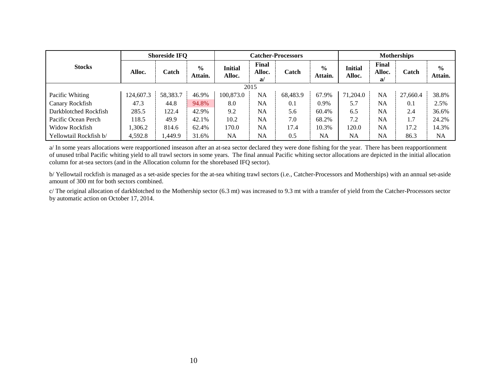|                        |           | <b>Shoreside IFQ</b> |                          |                   | <b>Catcher-Processors</b> |          |                          |                          |                       | <b>Motherships</b> |                          |  |  |  |
|------------------------|-----------|----------------------|--------------------------|-------------------|---------------------------|----------|--------------------------|--------------------------|-----------------------|--------------------|--------------------------|--|--|--|
| <b>Stocks</b>          | Alloc.    | Catch                | $\frac{6}{9}$<br>Attain. | Initial<br>Alloc. | Final<br>Alloc.<br>a/     | Catch    | $\frac{0}{0}$<br>Attain. | <b>Initial</b><br>Alloc. | Final<br>Alloc.<br>a/ | Catch              | $\frac{6}{9}$<br>Attain. |  |  |  |
|                        |           |                      |                          |                   | 2015                      |          |                          |                          |                       |                    |                          |  |  |  |
| Pacific Whiting        | 124,607.3 | 58,383.7             | 46.9%                    | 100,873.0         | NA                        | 68,483.9 | 67.9%                    | 71.204.0                 | <b>NA</b>             | 27,660.4           | 38.8%                    |  |  |  |
| Canary Rockfish        | 47.3      | 44.8                 | 94.8%                    | 8.0               | NA                        | 0.1      | 0.9%                     | 5.7                      | NA                    | 0.1                | 2.5%                     |  |  |  |
| Darkblotched Rockfish  | 285.5     | 122.4                | 42.9%                    | 9.2               | NA                        | 5.6      | 60.4%                    | 6.5                      | NA                    | 2.4                | 36.6%                    |  |  |  |
| Pacific Ocean Perch    | 118.5     | 49.9                 | 42.1%                    | 10.2              | NA                        | 7.0      | 68.2%                    | 7.2                      | NA                    | 1.7                | 24.2%                    |  |  |  |
| Widow Rockfish         | 1.306.2   | 814.6                | 62.4%                    | 170.0             | NA                        | 17.4     | 10.3%                    | 120.0                    | NA                    | 17.2               | 14.3%                    |  |  |  |
| Yellowtail Rockfish b/ | 4,592.8   | 1.449.9              | 31.6%                    | NA                | NA                        | 0.5      | NA                       | NA                       | NA                    | 86.3               | <b>NA</b>                |  |  |  |

a/ In some years allocations were reapportioned inseason after an at-sea sector declared they were done fishing for the year. There has been reapportionment of unused tribal Pacific whiting yield to all trawl sectors in some years. The final annual Pacific whiting sector allocations are depicted in the initial allocation column for at-sea sectors (and in the Allocation column for the shorebased IFQ sector).

b/ Yellowtail rockfish is managed as a set-aside species for the at-sea whiting trawl sectors (i.e., Catcher-Processors and Motherships) with an annual set-aside amount of 300 mt for both sectors combined.

c/ The original allocation of darkblotched to the Mothership sector (6.3 mt) was increased to 9.3 mt with a transfer of yield from the Catcher-Processors sector by automatic action on October 17, 2014.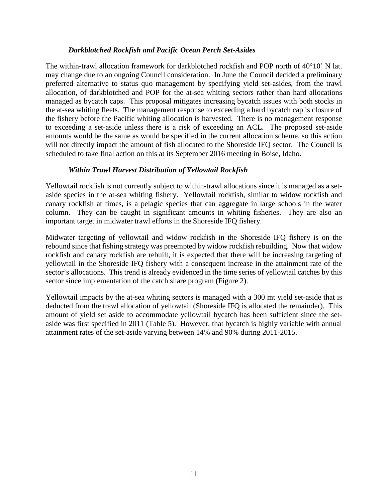### *Darkblotched Rockfish and Pacific Ocean Perch Set-Asides*

The within-trawl allocation framework for darkblotched rockfish and POP north of 40°10' N lat. may change due to an ongoing Council consideration. In June the Council decided a preliminary preferred alternative to status quo management by specifying yield set-asides, from the trawl allocation, of darkblotched and POP for the at-sea whiting sectors rather than hard allocations managed as bycatch caps. This proposal mitigates increasing bycatch issues with both stocks in the at-sea whiting fleets. The management response to exceeding a hard bycatch cap is closure of the fishery before the Pacific whiting allocation is harvested. There is no management response to exceeding a set-aside unless there is a risk of exceeding an ACL. The proposed set-aside amounts would be the same as would be specified in the current allocation scheme, so this action will not directly impact the amount of fish allocated to the Shoreside IFQ sector. The Council is scheduled to take final action on this at its September 2016 meeting in Boise, Idaho.

### *Within Trawl Harvest Distribution of Yellowtail Rockfish*

Yellowtail rockfish is not currently subject to within-trawl allocations since it is managed as a setaside species in the at-sea whiting fishery. Yellowtail rockfish, similar to widow rockfish and canary rockfish at times, is a pelagic species that can aggregate in large schools in the water column. They can be caught in significant amounts in whiting fisheries. They are also an important target in midwater trawl efforts in the Shoreside IFQ fishery.

Midwater targeting of yellowtail and widow rockfish in the Shoreside IFQ fishery is on the rebound since that fishing strategy was preempted by widow rockfish rebuilding. Now that widow rockfish and canary rockfish are rebuilt, it is expected that there will be increasing targeting of yellowtail in the Shoreside IFQ fishery with a consequent increase in the attainment rate of the sector's allocations. This trend is already evidenced in the time series of yellowtail catches by this sector since implementation of the catch share program [\(Figure 2\)](#page-11-0).

Yellowtail impacts by the at-sea whiting sectors is managed with a 300 mt yield set-aside that is deducted from the trawl allocation of yellowtail (Shoreside IFQ is allocated the remainder). This amount of yield set aside to accommodate yellowtail bycatch has been sufficient since the setaside was first specified in 2011 [\(Table 5\)](#page-11-1). However, that bycatch is highly variable with annual attainment rates of the set-aside varying between 14% and 90% during 2011-2015.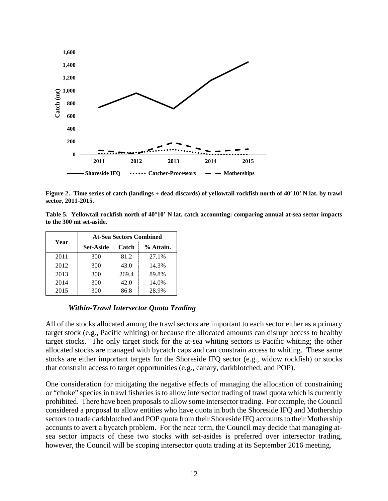

<span id="page-11-0"></span>**Figure 2. Time series of catch (landings + dead discards) of yellowtail rockfish north of 40°10' N lat. by trawl sector, 2011-2015.**

<span id="page-11-1"></span>**Table 5. Yellowtail rockfish north of 40°10' N lat. catch accounting: comparing annual at-sea sector impacts to the 300 mt set-aside.**

| Year | <b>At-Sea Sectors Combined</b> |       |           |  |  |  |  |  |  |  |
|------|--------------------------------|-------|-----------|--|--|--|--|--|--|--|
|      | <b>Set-Aside</b>               | Catch | % Attain. |  |  |  |  |  |  |  |
| 2011 | 300                            | 81.2  | 27.1%     |  |  |  |  |  |  |  |
| 2012 | 300                            | 43.0  | 14.3%     |  |  |  |  |  |  |  |
| 2013 | 300                            | 269.4 | 89.8%     |  |  |  |  |  |  |  |
| 2014 | 300                            | 42.0  | 14.0%     |  |  |  |  |  |  |  |
| 2015 | 300                            | 86.8  | 28.9%     |  |  |  |  |  |  |  |

#### *Within-Trawl Intersector Quota Trading*

All of the stocks allocated among the trawl sectors are important to each sector either as a primary target stock (e.g., Pacific whiting) or because the allocated amounts can disrupt access to healthy target stocks. The only target stock for the at-sea whiting sectors is Pacific whiting; the other allocated stocks are managed with bycatch caps and can constrain access to whiting. These same stocks are either important targets for the Shoreside IFQ sector (e.g., widow rockfish) or stocks that constrain access to target opportunities (e.g., canary, darkblotched, and POP).

One consideration for mitigating the negative effects of managing the allocation of constraining or "choke" species in trawl fisheries is to allow intersector trading of trawl quota which is currently prohibited. There have been proposals to allow some intersector trading. For example, the Council considered a proposal to allow entities who have quota in both the Shoreside IFQ and Mothership sectors to trade darkblotched and POP quota from their Shoreside IFQ accounts to their Mothership accounts to avert a bycatch problem. For the near term, the Council may decide that managing atsea sector impacts of these two stocks with set-asides is preferred over intersector trading, however, the Council will be scoping intersector quota trading at its September 2016 meeting.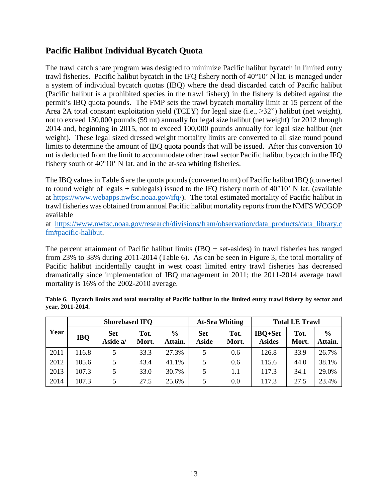# **Pacific Halibut Individual Bycatch Quota**

The trawl catch share program was designed to minimize Pacific halibut bycatch in limited entry trawl fisheries. Pacific halibut bycatch in the IFQ fishery north of 40°10' N lat. is managed under a system of individual bycatch quotas (IBQ) where the dead discarded catch of Pacific halibut (Pacific halibut is a prohibited species in the trawl fishery) in the fishery is debited against the permit's IBQ quota pounds. The FMP sets the trawl bycatch mortality limit at 15 percent of the Area 2A total constant exploitation yield (TCEY) for legal size (i.e.,  $\geq 32$ ") halibut (net weight), not to exceed 130,000 pounds (59 mt) annually for legal size halibut (net weight) for 2012 through 2014 and, beginning in 2015, not to exceed 100,000 pounds annually for legal size halibut (net weight). These legal sized dressed weight mortality limits are converted to all size round pound limits to determine the amount of IBQ quota pounds that will be issued. After this conversion 10 mt is deducted from the limit to accommodate other trawl sector Pacific halibut bycatch in the IFQ fishery south of 40°10' N lat. and in the at-sea whiting fisheries.

The IBQ values i[n Table 6](#page-12-0) are the quota pounds (converted to mt) of Pacific halibut IBQ (converted to round weight of legals + sublegals) issued to the IFQ fishery north of  $40^{\circ}10'$  N lat. (available at [https://www.webapps.nwfsc.noaa.gov/ifq/\)](https://www.webapps.nwfsc.noaa.gov/ifq/). The total estimated mortality of Pacific halibut in trawl fisheries was obtained from annual Pacific halibut mortality reports from the NMFS WCGOP available

at [https://www.nwfsc.noaa.gov/research/divisions/fram/observation/data\\_products/data\\_library.c](https://www.nwfsc.noaa.gov/research/divisions/fram/observation/data_products/data_library.cfm%23pacific-halibut) [fm#pacific-halibut.](https://www.nwfsc.noaa.gov/research/divisions/fram/observation/data_products/data_library.cfm%23pacific-halibut)

The percent attainment of Pacific halibut limits  $(IBQ + set$ -asides) in trawl fisheries has ranged from 23% to 38% during 2011-2014 [\(Table 6\)](#page-12-0). As can be seen in [Figure 3,](#page-13-0) the total mortality of Pacific halibut incidentally caught in west coast limited entry trawl fisheries has decreased dramatically since implementation of IBQ management in 2011; the 2011-2014 average trawl mortality is 16% of the 2002-2010 average.

|      |            | <b>Shorebased IFO</b> |               |                          |                      | <b>At-Sea Whiting</b> | <b>Total LE Trawl</b>     |               |                          |  |
|------|------------|-----------------------|---------------|--------------------------|----------------------|-----------------------|---------------------------|---------------|--------------------------|--|
| Year | <b>IBQ</b> | Set-<br>Aside a/      | Tot.<br>Mort. | $\frac{6}{9}$<br>Attain. | Set-<br><b>Aside</b> | Tot.<br>Mort.         | IBQ+Set-<br><b>Asides</b> | Tot.<br>Mort. | $\frac{6}{6}$<br>Attain. |  |
| 2011 | 116.8      | 5                     | 33.3          | 27.3%                    | 5                    | 0.6                   | 126.8                     | 33.9          | 26.7%                    |  |
| 2012 | 105.6      | 5                     | 43.4          | 41.1%                    | 5                    | 0.6                   | 115.6                     | 44.0          | 38.1%                    |  |
| 2013 | 107.3      | 5                     | 33.0          | 30.7%                    | 5                    | 1.1                   | 117.3                     | 34.1          | 29.0%                    |  |
| 2014 | 107.3      | 5                     | 27.5          | 25.6%                    | 5                    | 0.0                   | 117.3                     | 27.5          | 23.4%                    |  |

<span id="page-12-0"></span>**Table 6. Bycatch limits and total mortality of Pacific halibut in the limited entry trawl fishery by sector and year, 2011-2014.**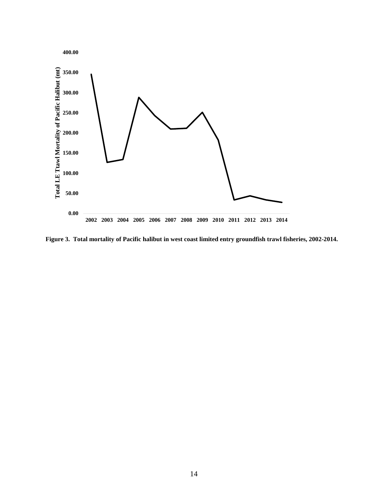

<span id="page-13-0"></span>**Figure 3. Total mortality of Pacific halibut in west coast limited entry groundfish trawl fisheries, 2002-2014.**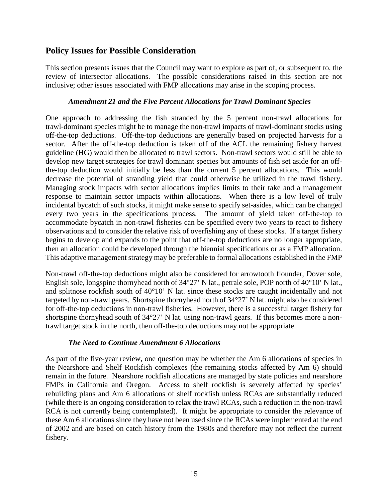## **Policy Issues for Possible Consideration**

This section presents issues that the Council may want to explore as part of, or subsequent to, the review of intersector allocations. The possible considerations raised in this section are not inclusive; other issues associated with FMP allocations may arise in the scoping process.

### *Amendment 21 and the Five Percent Allocations for Trawl Dominant Species*

One approach to addressing the fish stranded by the 5 percent non-trawl allocations for trawl-dominant species might be to manage the non-trawl impacts of trawl-dominant stocks using off-the-top deductions. Off-the-top deductions are generally based on projected harvests for a sector. After the off-the-top deduction is taken off of the ACL the remaining fishery harvest guideline (HG) would then be allocated to trawl sectors. Non-trawl sectors would still be able to develop new target strategies for trawl dominant species but amounts of fish set aside for an offthe-top deduction would initially be less than the current 5 percent allocations. This would decrease the potential of stranding yield that could otherwise be utilized in the trawl fishery. Managing stock impacts with sector allocations implies limits to their take and a management response to maintain sector impacts within allocations. When there is a low level of truly incidental bycatch of such stocks, it might make sense to specify set-asides, which can be changed every two years in the specifications process. The amount of yield taken off-the-top to accommodate bycatch in non-trawl fisheries can be specified every two years to react to fishery observations and to consider the relative risk of overfishing any of these stocks. If a target fishery begins to develop and expands to the point that off-the-top deductions are no longer appropriate, then an allocation could be developed through the biennial specifications or as a FMP allocation. This adaptive management strategy may be preferable to formal allocations established in the FMP

Non-trawl off-the-top deductions might also be considered for arrowtooth flounder, Dover sole, English sole, longspine thornyhead north of 34°27' N lat., petrale sole, POP north of 40°10' N lat., and splitnose rockfish south of 40°10' N lat. since these stocks are caught incidentally and not targeted by non-trawl gears. Shortspine thornyhead north of 34°27' N lat. might also be considered for off-the-top deductions in non-trawl fisheries. However, there is a successful target fishery for shortspine thornyhead south of 34°27' N lat. using non-trawl gears. If this becomes more a nontrawl target stock in the north, then off-the-top deductions may not be appropriate.

### *The Need to Continue Amendment 6 Allocations*

As part of the five-year review, one question may be whether the Am 6 allocations of species in the Nearshore and Shelf Rockfish complexes (the remaining stocks affected by Am 6) should remain in the future. Nearshore rockfish allocations are managed by state policies and nearshore FMPs in California and Oregon. Access to shelf rockfish is severely affected by species' rebuilding plans and Am 6 allocations of shelf rockfish unless RCAs are substantially reduced (while there is an ongoing consideration to relax the trawl RCAs, such a reduction in the non-trawl RCA is not currently being contemplated). It might be appropriate to consider the relevance of these Am 6 allocations since they have not been used since the RCAs were implemented at the end of 2002 and are based on catch history from the 1980s and therefore may not reflect the current fishery.